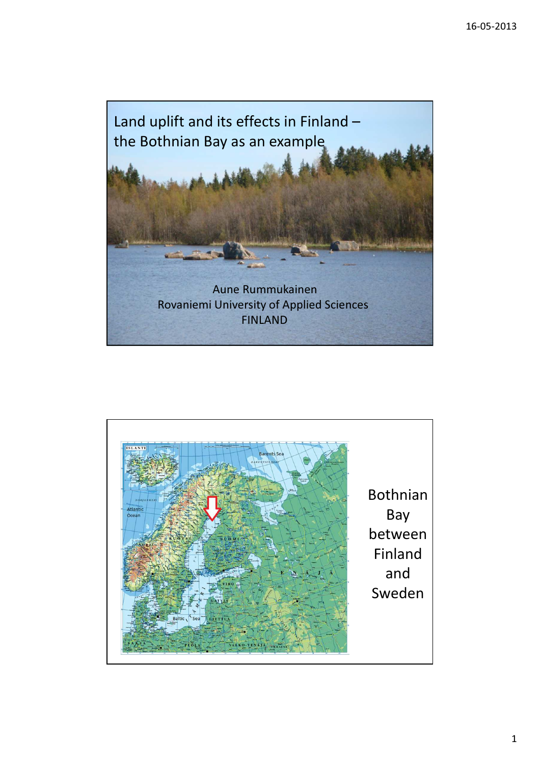

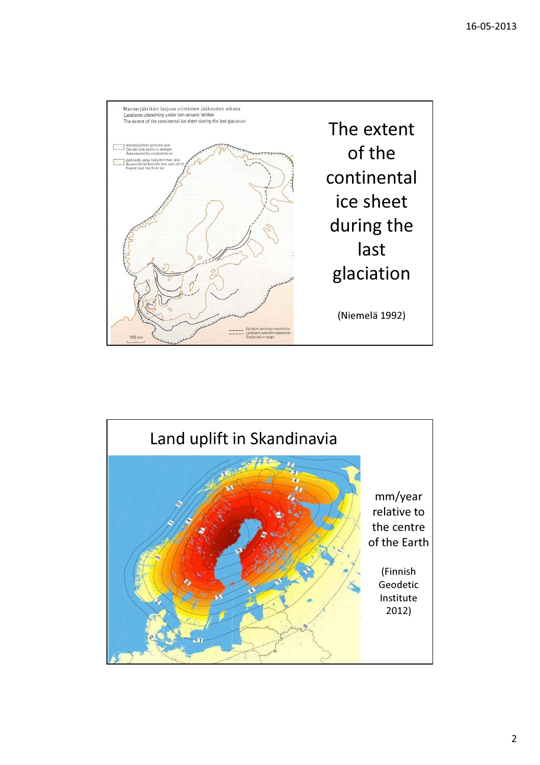

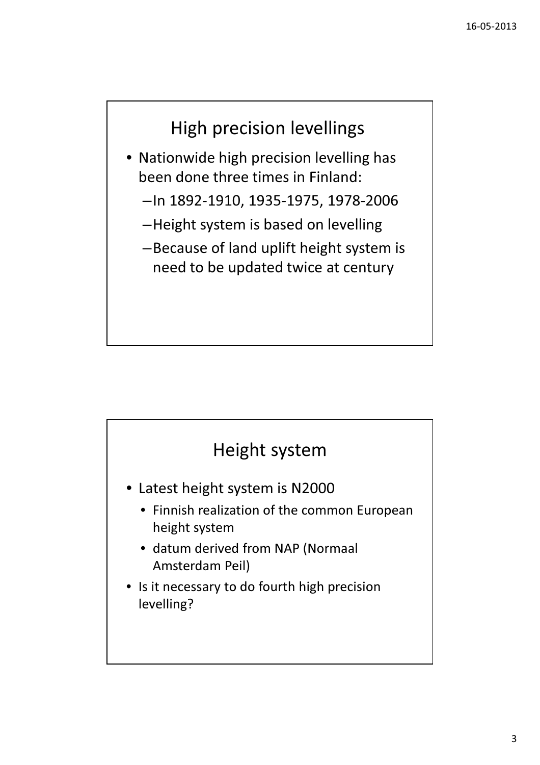## High precision levellings

- Nationwide high precision levelling has been done three times in Finland:
	- –In 1892-1910, 1935-1975, 1978-2006
	- –Height system is based on levelling
	- –Because of land uplift height system is need to be updated twice at century

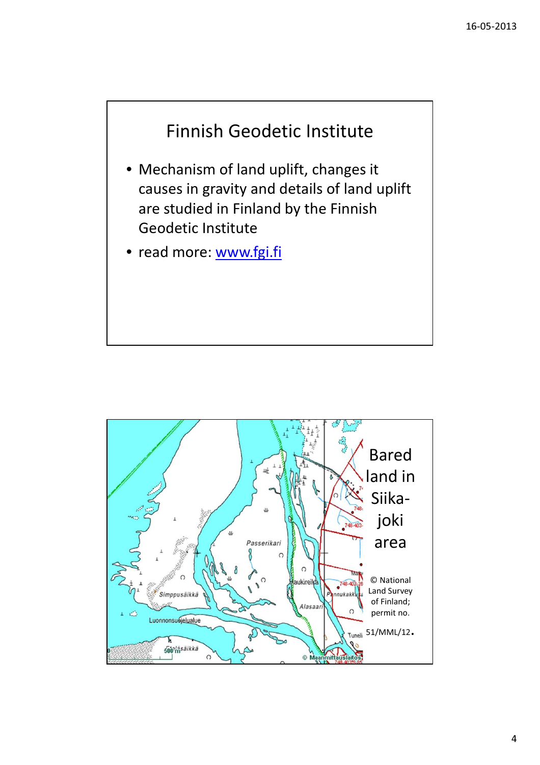



4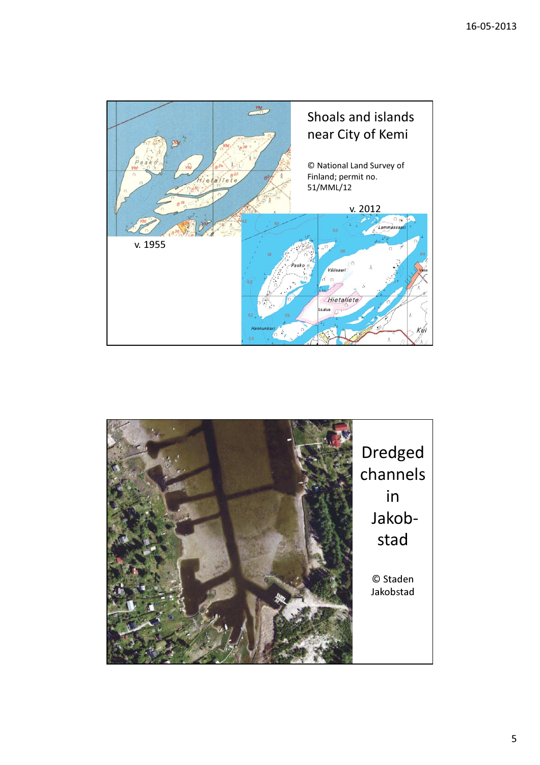

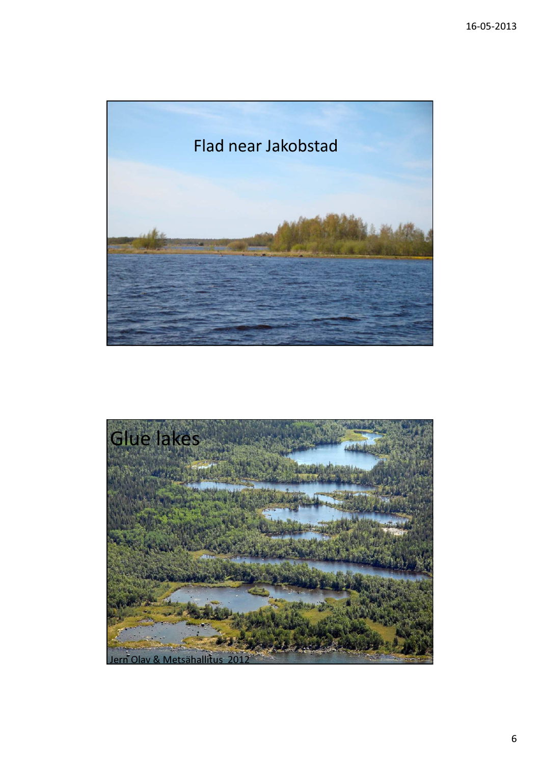

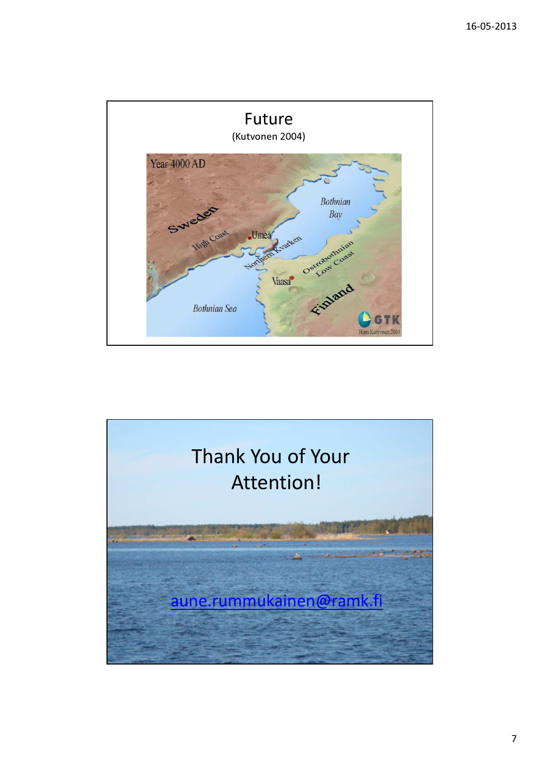